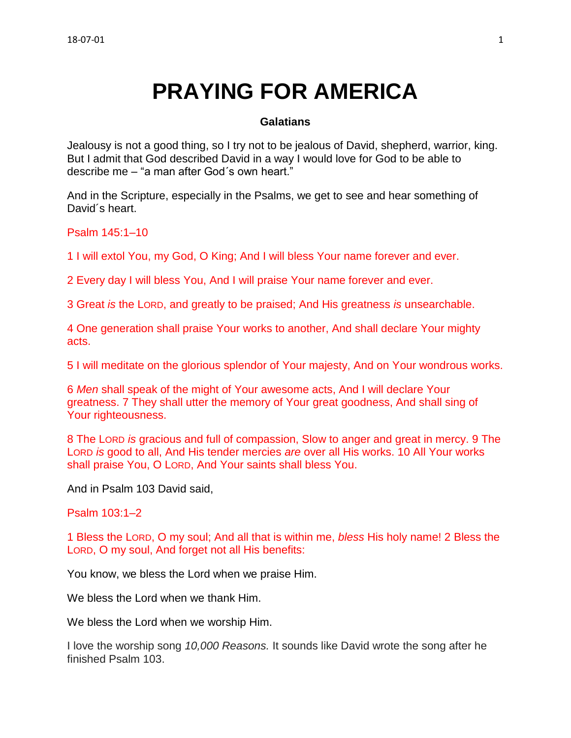# **PRAYING FOR AMERICA**

### **Galatians**

Jealousy is not a good thing, so I try not to be jealous of David, shepherd, warrior, king. But I admit that God described David in a way I would love for God to be able to describe me – "a man after God´s own heart."

And in the Scripture, especially in the Psalms, we get to see and hear something of David´s heart.

Psalm 145:1–10

1 I will extol You, my God, O King; And I will bless Your name forever and ever.

2 Every day I will bless You, And I will praise Your name forever and ever.

3 Great *is* the LORD, and greatly to be praised; And His greatness *is* unsearchable.

4 One generation shall praise Your works to another, And shall declare Your mighty acts.

5 I will meditate on the glorious splendor of Your majesty, And on Your wondrous works.

6 *Men* shall speak of the might of Your awesome acts, And I will declare Your greatness. 7 They shall utter the memory of Your great goodness, And shall sing of Your righteousness.

8 The LORD *is* gracious and full of compassion, Slow to anger and great in mercy. 9 The LORD *is* good to all, And His tender mercies *are* over all His works. 10 All Your works shall praise You, O LORD, And Your saints shall bless You.

And in Psalm 103 David said,

Psalm 103:1–2

1 Bless the LORD, O my soul; And all that is within me, *bless* His holy name! 2 Bless the LORD, O my soul, And forget not all His benefits:

You know, we bless the Lord when we praise Him.

We bless the Lord when we thank Him.

We bless the Lord when we worship Him.

I love the worship song *10,000 Reasons.* It sounds like David wrote the song after he finished Psalm 103.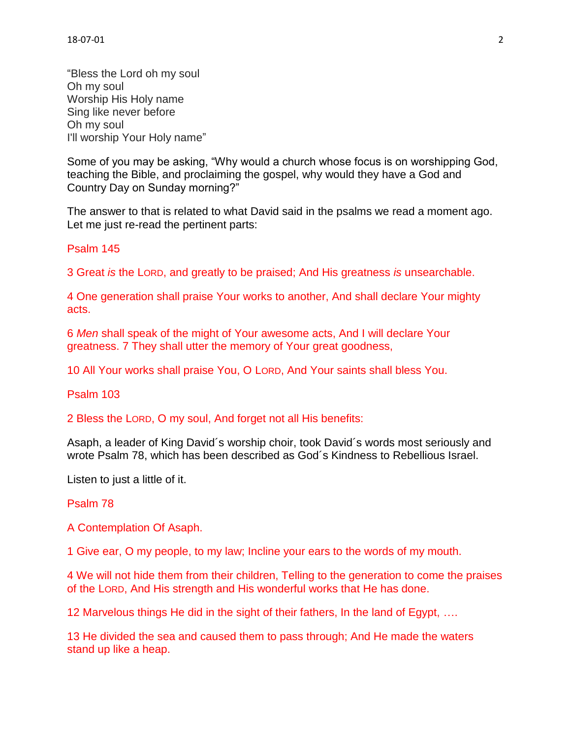"Bless the Lord oh my soul Oh my soul Worship His Holy name Sing like never before Oh my soul I'll worship Your Holy name"

Some of you may be asking, "Why would a church whose focus is on worshipping God, teaching the Bible, and proclaiming the gospel, why would they have a God and Country Day on Sunday morning?"

The answer to that is related to what David said in the psalms we read a moment ago. Let me just re-read the pertinent parts:

Psalm 145

3 Great *is* the LORD, and greatly to be praised; And His greatness *is* unsearchable.

4 One generation shall praise Your works to another, And shall declare Your mighty acts.

6 *Men* shall speak of the might of Your awesome acts, And I will declare Your greatness. 7 They shall utter the memory of Your great goodness,

10 All Your works shall praise You, O LORD, And Your saints shall bless You.

Psalm 103

2 Bless the LORD, O my soul, And forget not all His benefits:

Asaph, a leader of King David´s worship choir, took David´s words most seriously and wrote Psalm 78, which has been described as God´s Kindness to Rebellious Israel.

Listen to just a little of it.

#### Psalm 78

A Contemplation Of Asaph.

1 Give ear, O my people, to my law; Incline your ears to the words of my mouth.

4 We will not hide them from their children, Telling to the generation to come the praises of the LORD, And His strength and His wonderful works that He has done.

12 Marvelous things He did in the sight of their fathers, In the land of Egypt, ….

13 He divided the sea and caused them to pass through; And He made the waters stand up like a heap.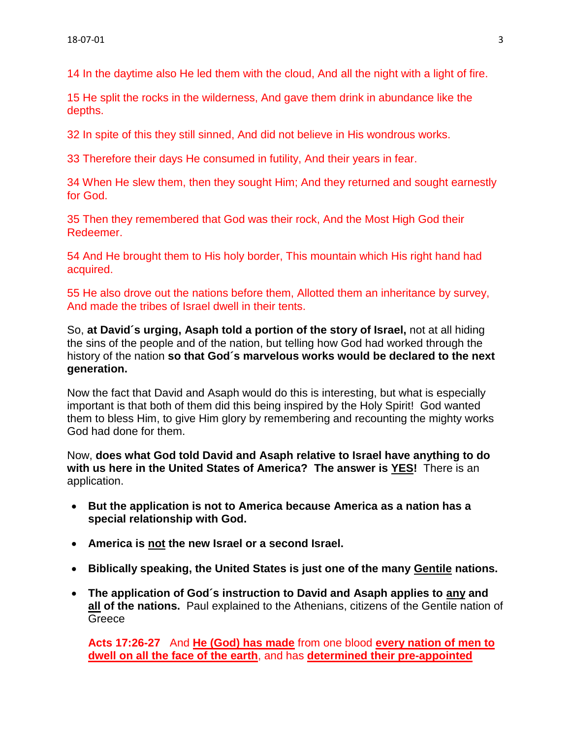14 In the daytime also He led them with the cloud, And all the night with a light of fire.

15 He split the rocks in the wilderness, And gave them drink in abundance like the depths.

32 In spite of this they still sinned, And did not believe in His wondrous works.

33 Therefore their days He consumed in futility, And their years in fear.

34 When He slew them, then they sought Him; And they returned and sought earnestly for God.

35 Then they remembered that God was their rock, And the Most High God their Redeemer.

54 And He brought them to His holy border, This mountain which His right hand had acquired.

55 He also drove out the nations before them, Allotted them an inheritance by survey, And made the tribes of Israel dwell in their tents.

So, **at David´s urging, Asaph told a portion of the story of Israel,** not at all hiding the sins of the people and of the nation, but telling how God had worked through the history of the nation **so that God´s marvelous works would be declared to the next generation.**

Now the fact that David and Asaph would do this is interesting, but what is especially important is that both of them did this being inspired by the Holy Spirit! God wanted them to bless Him, to give Him glory by remembering and recounting the mighty works God had done for them.

Now, **does what God told David and Asaph relative to Israel have anything to do with us here in the United States of America? The answer is YES!** There is an application.

- **But the application is not to America because America as a nation has a special relationship with God.**
- **America is not the new Israel or a second Israel.**
- **Biblically speaking, the United States is just one of the many Gentile nations.**
- **The application of God´s instruction to David and Asaph applies to any and all of the nations.** Paul explained to the Athenians, citizens of the Gentile nation of **Greece**

**Acts 17:26-27** And **He (God) has made** from one blood **every nation of men to dwell on all the face of the earth**, and has **determined their pre-appointed**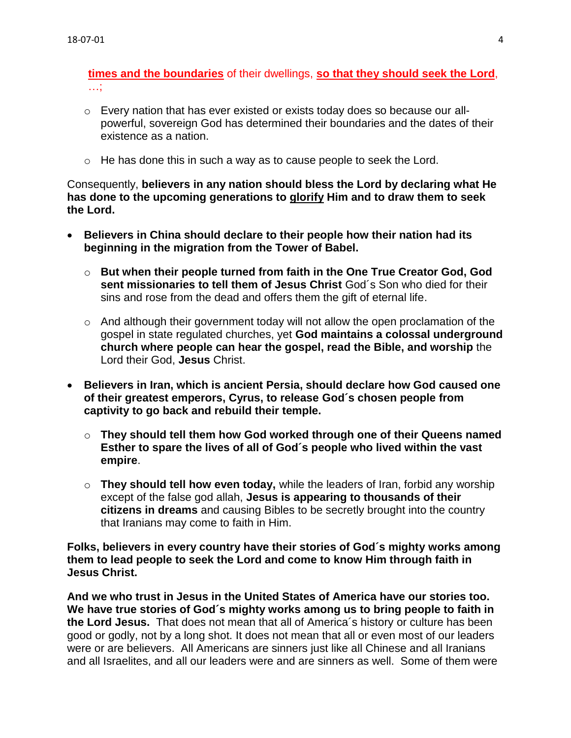**times and the boundaries** of their dwellings, **so that they should seek the Lord**, …;

- $\circ$  Every nation that has ever existed or exists today does so because our allpowerful, sovereign God has determined their boundaries and the dates of their existence as a nation.
- $\circ$  He has done this in such a way as to cause people to seek the Lord.

Consequently, **believers in any nation should bless the Lord by declaring what He has done to the upcoming generations to glorify Him and to draw them to seek the Lord.**

- **Believers in China should declare to their people how their nation had its beginning in the migration from the Tower of Babel.**
	- o **But when their people turned from faith in the One True Creator God, God sent missionaries to tell them of Jesus Christ** God´s Son who died for their sins and rose from the dead and offers them the gift of eternal life.
	- o And although their government today will not allow the open proclamation of the gospel in state regulated churches, yet **God maintains a colossal underground church where people can hear the gospel, read the Bible, and worship** the Lord their God, **Jesus** Christ.
- **Believers in Iran, which is ancient Persia, should declare how God caused one of their greatest emperors, Cyrus, to release God´s chosen people from captivity to go back and rebuild their temple.**
	- o **They should tell them how God worked through one of their Queens named Esther to spare the lives of all of God´s people who lived within the vast empire**.
	- o **They should tell how even today,** while the leaders of Iran, forbid any worship except of the false god allah, **Jesus is appearing to thousands of their citizens in dreams** and causing Bibles to be secretly brought into the country that Iranians may come to faith in Him.

**Folks, believers in every country have their stories of God´s mighty works among them to lead people to seek the Lord and come to know Him through faith in Jesus Christ.**

**And we who trust in Jesus in the United States of America have our stories too. We have true stories of God´s mighty works among us to bring people to faith in the Lord Jesus.** That does not mean that all of America´s history or culture has been good or godly, not by a long shot. It does not mean that all or even most of our leaders were or are believers. All Americans are sinners just like all Chinese and all Iranians and all Israelites, and all our leaders were and are sinners as well. Some of them were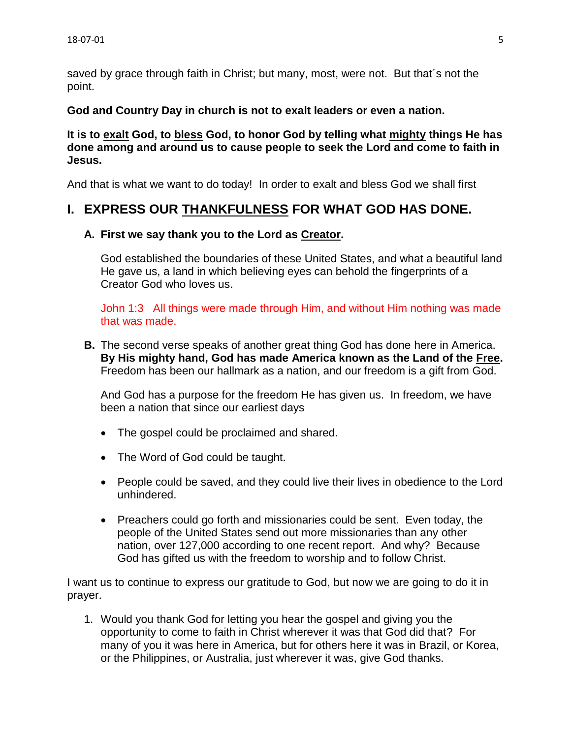saved by grace through faith in Christ; but many, most, were not. But that´s not the point.

**God and Country Day in church is not to exalt leaders or even a nation.** 

**It is to exalt God, to bless God, to honor God by telling what mighty things He has done among and around us to cause people to seek the Lord and come to faith in Jesus.**

And that is what we want to do today! In order to exalt and bless God we shall first

# **I. EXPRESS OUR THANKFULNESS FOR WHAT GOD HAS DONE.**

# **A. First we say thank you to the Lord as Creator.**

God established the boundaries of these United States, and what a beautiful land He gave us, a land in which believing eyes can behold the fingerprints of a Creator God who loves us.

John 1:3 All things were made through Him, and without Him nothing was made that was made.

**B.** The second verse speaks of another great thing God has done here in America. **By His mighty hand, God has made America known as the Land of the Free.** Freedom has been our hallmark as a nation, and our freedom is a gift from God.

And God has a purpose for the freedom He has given us. In freedom, we have been a nation that since our earliest days

- The gospel could be proclaimed and shared.
- The Word of God could be taught.
- People could be saved, and they could live their lives in obedience to the Lord unhindered.
- Preachers could go forth and missionaries could be sent. Even today, the people of the United States send out more missionaries than any other nation, over 127,000 according to one recent report. And why? Because God has gifted us with the freedom to worship and to follow Christ.

I want us to continue to express our gratitude to God, but now we are going to do it in prayer.

1. Would you thank God for letting you hear the gospel and giving you the opportunity to come to faith in Christ wherever it was that God did that? For many of you it was here in America, but for others here it was in Brazil, or Korea, or the Philippines, or Australia, just wherever it was, give God thanks.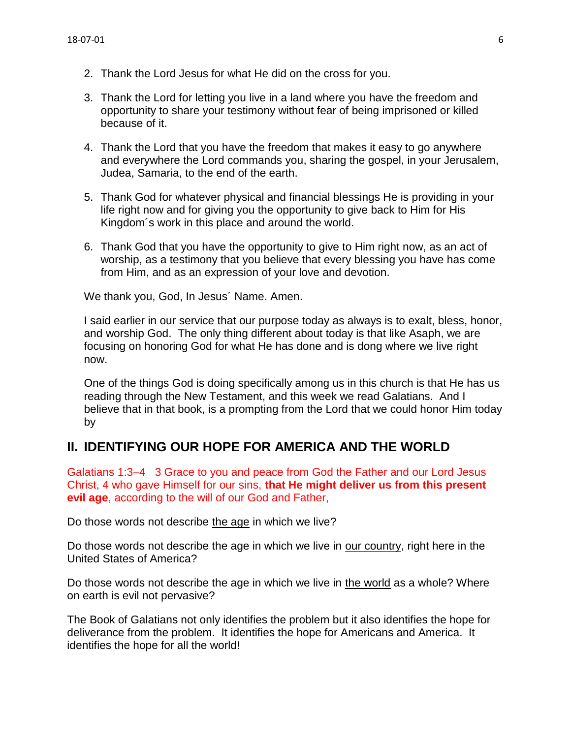- 2. Thank the Lord Jesus for what He did on the cross for you.
- 3. Thank the Lord for letting you live in a land where you have the freedom and opportunity to share your testimony without fear of being imprisoned or killed because of it.
- 4. Thank the Lord that you have the freedom that makes it easy to go anywhere and everywhere the Lord commands you, sharing the gospel, in your Jerusalem, Judea, Samaria, to the end of the earth.
- 5. Thank God for whatever physical and financial blessings He is providing in your life right now and for giving you the opportunity to give back to Him for His Kingdom´s work in this place and around the world.
- 6. Thank God that you have the opportunity to give to Him right now, as an act of worship, as a testimony that you believe that every blessing you have has come from Him, and as an expression of your love and devotion.

We thank you, God, In Jesus´ Name. Amen.

I said earlier in our service that our purpose today as always is to exalt, bless, honor, and worship God. The only thing different about today is that like Asaph, we are focusing on honoring God for what He has done and is dong where we live right now.

One of the things God is doing specifically among us in this church is that He has us reading through the New Testament, and this week we read Galatians. And I believe that in that book, is a prompting from the Lord that we could honor Him today by

# **II. IDENTIFYING OUR HOPE FOR AMERICA AND THE WORLD**

Galatians 1:3–4 3 Grace to you and peace from God the Father and our Lord Jesus Christ, 4 who gave Himself for our sins, **that He might deliver us from this present evil age**, according to the will of our God and Father,

Do those words not describe the age in which we live?

Do those words not describe the age in which we live in our country, right here in the United States of America?

Do those words not describe the age in which we live in the world as a whole? Where on earth is evil not pervasive?

The Book of Galatians not only identifies the problem but it also identifies the hope for deliverance from the problem. It identifies the hope for Americans and America. It identifies the hope for all the world!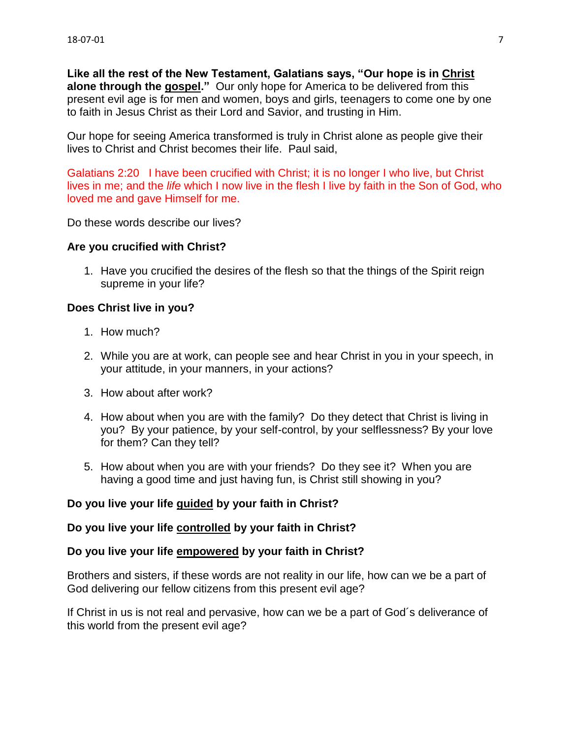**Like all the rest of the New Testament, Galatians says, "Our hope is in Christ alone through the gospel."** Our only hope for America to be delivered from this present evil age is for men and women, boys and girls, teenagers to come one by one to faith in Jesus Christ as their Lord and Savior, and trusting in Him.

Our hope for seeing America transformed is truly in Christ alone as people give their lives to Christ and Christ becomes their life. Paul said,

Galatians 2:20 I have been crucified with Christ; it is no longer I who live, but Christ lives in me; and the *life* which I now live in the flesh I live by faith in the Son of God, who loved me and gave Himself for me.

Do these words describe our lives?

## **Are you crucified with Christ?**

1. Have you crucified the desires of the flesh so that the things of the Spirit reign supreme in your life?

## **Does Christ live in you?**

- 1. How much?
- 2. While you are at work, can people see and hear Christ in you in your speech, in your attitude, in your manners, in your actions?
- 3. How about after work?
- 4. How about when you are with the family? Do they detect that Christ is living in you? By your patience, by your self-control, by your selflessness? By your love for them? Can they tell?
- 5. How about when you are with your friends? Do they see it? When you are having a good time and just having fun, is Christ still showing in you?

# **Do you live your life guided by your faith in Christ?**

#### **Do you live your life controlled by your faith in Christ?**

#### **Do you live your life empowered by your faith in Christ?**

Brothers and sisters, if these words are not reality in our life, how can we be a part of God delivering our fellow citizens from this present evil age?

If Christ in us is not real and pervasive, how can we be a part of God´s deliverance of this world from the present evil age?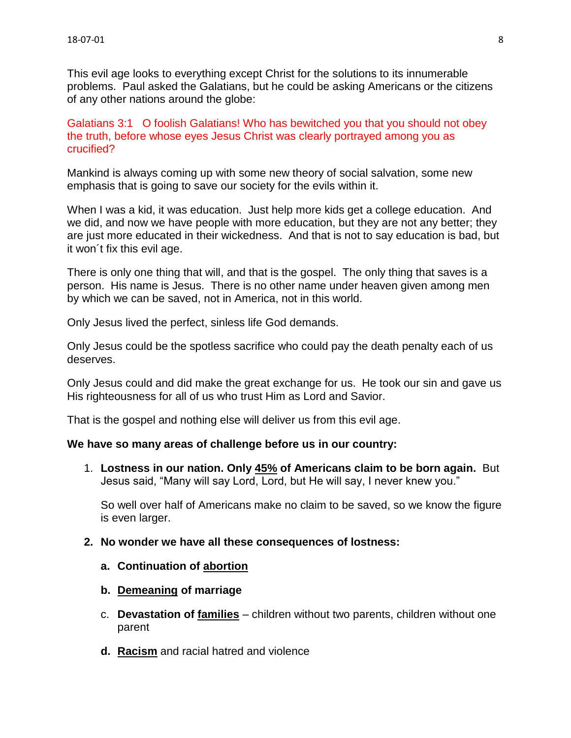This evil age looks to everything except Christ for the solutions to its innumerable problems. Paul asked the Galatians, but he could be asking Americans or the citizens of any other nations around the globe:

Galatians 3:1 O foolish Galatians! Who has bewitched you that you should not obey the truth, before whose eyes Jesus Christ was clearly portrayed among you as crucified?

Mankind is always coming up with some new theory of social salvation, some new emphasis that is going to save our society for the evils within it.

When I was a kid, it was education. Just help more kids get a college education. And we did, and now we have people with more education, but they are not any better; they are just more educated in their wickedness. And that is not to say education is bad, but it won´t fix this evil age.

There is only one thing that will, and that is the gospel. The only thing that saves is a person. His name is Jesus. There is no other name under heaven given among men by which we can be saved, not in America, not in this world.

Only Jesus lived the perfect, sinless life God demands.

Only Jesus could be the spotless sacrifice who could pay the death penalty each of us deserves.

Only Jesus could and did make the great exchange for us. He took our sin and gave us His righteousness for all of us who trust Him as Lord and Savior.

That is the gospel and nothing else will deliver us from this evil age.

#### **We have so many areas of challenge before us in our country:**

1. **Lostness in our nation. Only 45% of Americans claim to be born again.** But Jesus said, "Many will say Lord, Lord, but He will say, I never knew you."

So well over half of Americans make no claim to be saved, so we know the figure is even larger.

- **2. No wonder we have all these consequences of lostness:**
	- **a. Continuation of abortion**
	- **b. Demeaning of marriage**
	- c. **Devastation of families** children without two parents, children without one parent
	- **d. Racism** and racial hatred and violence